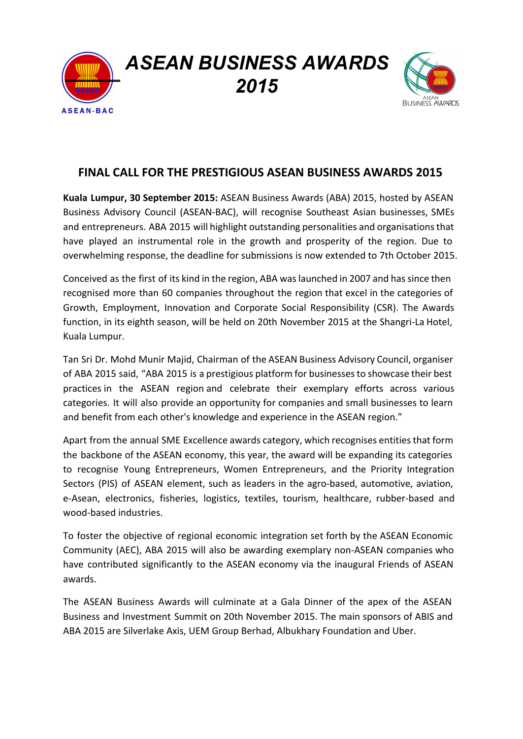*ASEAN BUSINESS AWARDS 2015*

**ASEAN-BAC** 



# **FINAL CALL FOR THE PRESTIGIOUS ASEAN BUSINESS AWARDS 2015**

**Kuala Lumpur, 30 September 2015:** ASEAN Business Awards (ABA) 2015, hosted by ASEAN Business Advisory Council (ASEAN-BAC), will recognise Southeast Asian businesses, SMEs and entrepreneurs. ABA 2015 will highlight outstanding personalities and organisations that have played an instrumental role in the growth and prosperity of the region. Due to overwhelming response, the deadline for submissions is now extended to 7th October 2015.

Conceived as the first of its kind in the region, ABA waslaunched in 2007 and hassince then recognised more than 60 companies throughout the region that excel in the categories of Growth, Employment, Innovation and Corporate Social Responsibility (CSR). The Awards function, in its eighth season, will be held on 20th November 2015 at the Shangri-La Hotel, Kuala Lumpur.

Tan Sri Dr. Mohd Munir Majid, Chairman of the ASEAN Business Advisory Council, organiser of ABA 2015 said, "ABA 2015 is a prestigious platform for businessesto showcase their best practices in the ASEAN region and celebrate their exemplary efforts across various categories. It will also provide an opportunity for companies and small businesses to learn and benefit from each other's knowledge and experience in the ASEAN region."

Apart from the annual SME Excellence awards category, which recognises entities that form the backbone of the ASEAN economy, this year, the award will be expanding its categories to recognise Young Entrepreneurs, Women Entrepreneurs, and the Priority Integration Sectors (PIS) of ASEAN element, such as leaders in the agro-based, automotive, aviation, e-Asean, electronics, fisheries, logistics, textiles, tourism, healthcare, rubber-based and wood-based industries.

To foster the objective of regional economic integration set forth by the ASEAN Economic Community (AEC), ABA 2015 will also be awarding exemplary non-ASEAN companies who have contributed significantly to the ASEAN economy via the inaugural Friends of ASEAN awards.

The ASEAN Business Awards will culminate at a Gala Dinner of the apex of the ASEAN Business and Investment Summit on 20th November 2015. The main sponsors of ABIS and ABA 2015 are Silverlake Axis, UEM Group Berhad, Albukhary Foundation and Uber.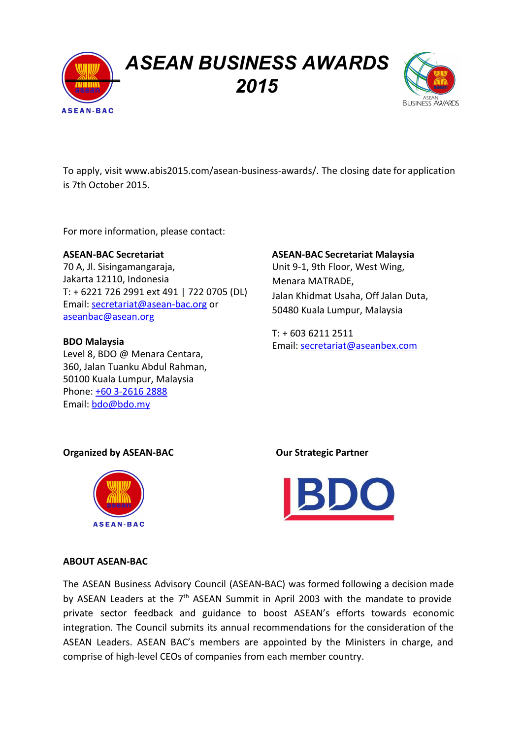*ASEAN BUSINESS AWARDS 2015*



To apply, visit [www.abis2015.com/asean-business-awards/.](http://www.abis2015.com/asean-business-awards/) The closing date for application is 7th October 2015.

For more information, please contact:

**ASEAN-BAC** 

**ASEAN-BAC Secretariat** 70 A, Jl. Sisingamangaraja, Jakarta 12110, Indonesia T: + 6221 726 2991 ext 491 | 722 0705 (DL) Email: [secretariat@asean-bac.org](mailto:secretariat@asean-bac.org) or [aseanbac@asean.org](mailto:aseanbac@asean.org)

**BDO Malaysia** Level 8, BDO @ Menara Centara, 360, Jalan Tuanku Abdul Rahman, 50100 Kuala Lumpur, Malaysia Phone: +60 3-2616 2888 Email: [bdo@bdo.my](mailto:bdo@bdo.my)

### **ASEAN-BAC Secretariat Malaysia**

Unit 9-1, 9th Floor, West Wing, Menara MATRADE, Jalan Khidmat Usaha, Off Jalan Duta, 50480 Kuala Lumpur, Malaysia

T: + 603 6211 2511 Email: [secretariat@aseanbex.com](mailto:secretariat@aseanbex.com)

### **Organized by ASEAN-BAC Our Strategic Partner**





#### **ABOUT ASEAN-BAC**

The ASEAN Business Advisory Council (ASEAN-BAC) was formed following a decision made by ASEAN Leaders at the 7<sup>th</sup> ASEAN Summit in April 2003 with the mandate to provide private sector feedback and guidance to boost ASEAN's efforts towards economic integration. The Council submits its annual recommendations for the consideration of the ASEAN Leaders. ASEAN BAC's members are appointed by the Ministers in charge, and comprise of high-level CEOs of companies from each member country.